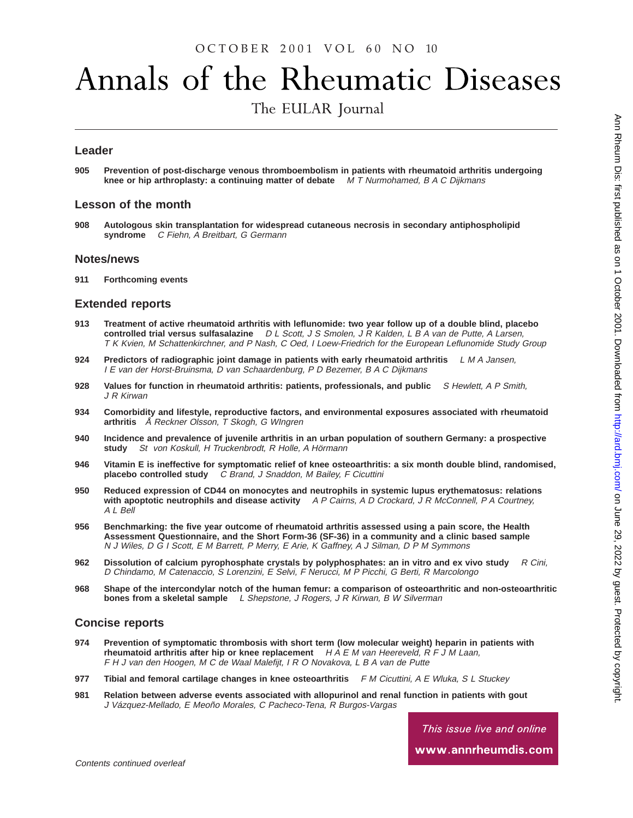### OCTOBER 2001 VOL 60 NO 10

# Annals of the Rheumatic Diseases

The EULAR Journal

#### **Leader**

**905 Prevention of post-discharge venous thromboembolism in patients with rheumatoid arthritis undergoing knee or hip arthroplasty: a continuing matter of debate** M T Nurmohamed, B A C Dijkmans

#### **Lesson of the month**

**908 Autologous skin transplantation for widespread cutaneous necrosis in secondary antiphospholipid syndrome** C Fiehn, A Breitbart, G Germann

#### **Notes/news**

**911 Forthcoming events**

#### **Extended reports**

- **913 Treatment of active rheumatoid arthritis with leflunomide: two year follow up of a double blind, placebo controlled trial versus sulfasalazine** D L Scott, J S Smolen, J R Kalden, L B A van de Putte, A Larsen, T K Kvien, M Schattenkirchner, and P Nash, C Oed, I Loew-Friedrich for the European Leflunomide Study Group
- **924 Predictors of radiographic joint damage in patients with early rheumatoid arthritis** L M A Jansen, I E van der Horst-Bruinsma, D van Schaardenburg, P D Bezemer, B A C Dijkmans
- **928 Values for function in rheumatoid arthritis: patients, professionals, and public** S Hewlett, A P Smith, J R Kirwan
- **934 Comorbidity and lifestyle, reproductive factors, and environmental exposures associated with rheumatoid arthritis** Å Reckner Olsson, <sup>T</sup> Skogh, <sup>G</sup> WIngren
- **940 Incidence and prevalence of juvenile arthritis in an urban population of southern Germany: a prospective St von Koskull, H Truckenbrodt, R Holle, A Hörmann**
- **946 Vitamin E is ineffective for symptomatic relief of knee osteoarthritis: a six month double blind, randomised, placebo controlled study** C Brand, J Snaddon, M Bailey, F Cicuttini
- **950 Reduced expression of CD44 on monocytes and neutrophils in systemic lupus erythematosus: relations with apoptotic neutrophils and disease activity** A P Cairns, A D Crockard, J R McConnell, P A Courtney, A L Bell
- **956 Benchmarking: the five year outcome of rheumatoid arthritis assessed using a pain score, the Health Assessment Questionnaire, and the Short Form-36 (SF-36) in a community and a clinic based sample** N J Wiles, D G I Scott, E M Barrett, P Merry, E Arie, K Gaffney, A J Silman, D P M Symmons
- **962 Dissolution of calcium pyrophosphate crystals by polyphosphates: an in vitro and ex vivo study** R Cini, D Chindamo, M Catenaccio, S Lorenzini, E Selvi, F Nerucci, M P Picchi, G Berti, R Marcolongo
- **968 Shape of the intercondylar notch of the human femur: a comparison of osteoarthritic and non-osteoarthritic bones from a skeletal sample** L Shepstone, J Rogers, J R Kirwan, B W Silverman

#### **Concise reports**

- **974 Prevention of symptomatic thrombosis with short term (low molecular weight) heparin in patients with rheumatoid arthritis after hip or knee replacement**  $H \wedge H \wedge E$  M van Heereveld,  $R \in J$  M Laan, F H J van den Hoogen, M C de Waal Malefijt, I R O Novakova, L B A van de Putte
- **977 Tibial and femoral cartilage changes in knee osteoarthritis** F M Cicuttini, A E Wluka, S L Stuckey
- **981 Relation between adverse events associated with allopurinol and renal function in patients with gout** J Vázquez-Mellado, E Meoño Morales, C Pacheco-Tena, R Burgos-Vargas

This issue live and online

www.annrheumdis.com